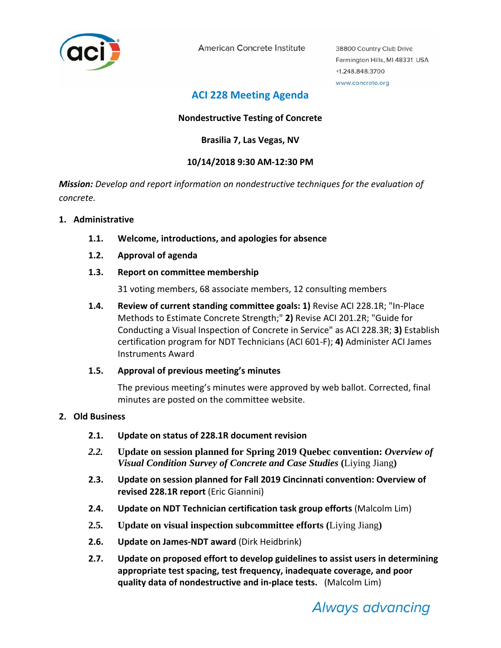

American Concrete Institute

38800 Country Club Drive Farmington Hills, MI 48331 USA +1.248.848.3700 www.concrete.org

# **ACI 228 Meeting Agenda**

# **Nondestructive Testing of Concrete**

**Brasilia 7, Las Vegas, NV**

# **10/14/2018 9:30 AM‐12:30 PM**

*Mission: Develop and report information on nondestructive techniques for the evaluation of concrete.*

### **1. Administrative**

- **1.1. Welcome, introductions, and apologies for absence**
- **1.2. Approval of agenda**
- **1.3. Report on committee membership**

31 voting members, 68 associate members, 12 consulting members

**1.4. Review of current standing committee goals: 1)** Revise ACI 228.1R; "In‐Place Methods to Estimate Concrete Strength;" **2)** Revise ACI 201.2R; "Guide for Conducting a Visual Inspection of Concrete in Service" as ACI 228.3R; **3)** Establish certification program for NDT Technicians (ACI 601‐F); **4)** Administer ACI James Instruments Award

## **1.5. Approval of previous meeting's minutes**

The previous meeting's minutes were approved by web ballot. Corrected, final minutes are posted on the committee website.

#### **2. Old Business**

- **2.1. Update on status of 228.1R document revision**
- *2.2.* **Update on session planned for Spring 2019 Quebec convention:** *Overview of Visual Condition Survey of Concrete and Case Studies* **(**Liying Jiang**)**
- **2.3. Update on session planned for Fall 2019 Cincinnati convention: Overview of revised 228.1R report** (Eric Giannini)
- **2.4. Update on NDT Technician certification task group efforts** (Malcolm Lim)
- **2.5. Update on visual inspection subcommittee efforts (**Liying Jiang**)**
- **2.6. Update on James‐NDT award** (Dirk Heidbrink)
- **2.7. Update on proposed effort to develop guidelines to assist users in determining appropriate test spacing, test frequency, inadequate coverage, and poor quality data of nondestructive and in‐place tests.** (Malcolm Lim)